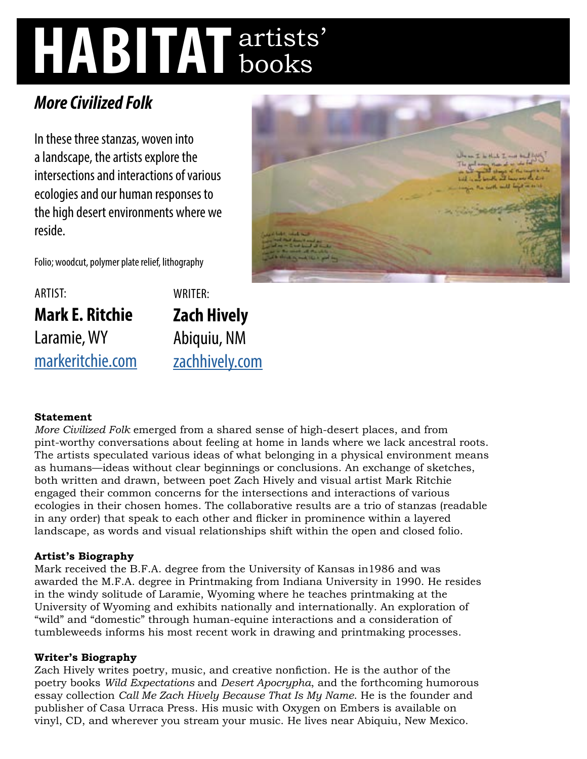# **HABITAT** artists' books

## *More Civilized Folk*

In these three stanzas, woven into a landscape, the artists explore the intersections and interactions of various ecologies and our human responses to the high desert environments where we reside.



Folio; woodcut, polymer plate relief, lithography

ARTIST: **Mark E. Ritchie**  Laramie, WY [markeritchie.com](http://markeritchie.com) WRITER: **Zach Hively**  Abiquiu, NM [zachhively.com](http://zachhively.com)

### **Statement**

*More Civilized Folk* emerged from a shared sense of high-desert places, and from pint-worthy conversations about feeling at home in lands where we lack ancestral roots. The artists speculated various ideas of what belonging in a physical environment means as humans—ideas without clear beginnings or conclusions. An exchange of sketches, both written and drawn, between poet Zach Hively and visual artist Mark Ritchie engaged their common concerns for the intersections and interactions of various ecologies in their chosen homes. The collaborative results are a trio of stanzas (readable in any order) that speak to each other and flicker in prominence within a layered landscape, as words and visual relationships shift within the open and closed folio.

### **Artist's Biography**

Mark received the B.F.A. degree from the University of Kansas in1986 and was awarded the M.F.A. degree in Printmaking from Indiana University in 1990. He resides in the windy solitude of Laramie, Wyoming where he teaches printmaking at the University of Wyoming and exhibits nationally and internationally. An exploration of "wild" and "domestic" through human-equine interactions and a consideration of tumbleweeds informs his most recent work in drawing and printmaking processes.

#### **Writer's Biography**

Zach Hively writes poetry, music, and creative nonfiction. He is the author of the poetry books *Wild Expectations* and *Desert Apocrypha*, and the forthcoming humorous essay collection *Call Me Zach Hively Because That Is My Name*. He is the founder and publisher of Casa Urraca Press. His music with Oxygen on Embers is available on vinyl, CD, and wherever you stream your music. He lives near Abiquiu, New Mexico.